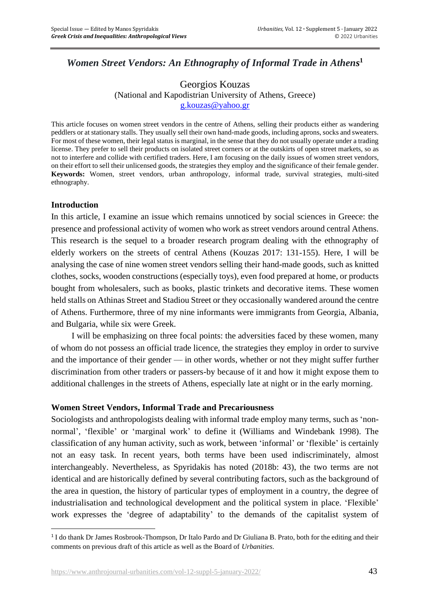# *Women Street Vendors: An Ethnography of Informal Trade in Athens* **1**

#### Georgios Kouzas (National and Kapodistrian University of Athens, Greece) [g.kouzas@yahoo.gr](mailto:g.kouzas@yahoo.gr)

This article focuses on women street vendors in the centre of Athens, selling their products either as wandering peddlers or at stationary stalls. They usually sell their own hand-made goods, including aprons, socks and sweaters. For most of these women, their legal status is marginal, in the sense that they do not usually operate under a trading license. They prefer to sell their products on isolated street corners or at the outskirts of open street markets, so as not to interfere and collide with certified traders. Here, I am focusing on the daily issues of women street vendors, on their effort to sell their unlicensed goods, the strategies they employ and the significance of their female gender. **Keywords:** Women, street vendors, urban anthropology, informal trade, survival strategies, multi-sited ethnography.

#### **Introduction**

In this article, I examine an issue which remains unnoticed by social sciences in Greece: the presence and professional activity of women who work as street vendors around central Athens. This research is the sequel to a broader research program dealing with the ethnography of elderly workers on the streets of central Athens (Kouzas 2017: 131-155). Here, I will be analysing the case of nine women street vendors selling their hand-made goods, such as knitted clothes, socks, wooden constructions (especially toys), even food prepared at home, or products bought from wholesalers, such as books, plastic trinkets and decorative items. These women held stalls on Athinas Street and Stadiou Street or they occasionally wandered around the centre of Athens. Furthermore, three of my nine informants were immigrants from Georgia, Albania, and Bulgaria, while six were Greek.

I will be emphasizing on three focal points: the adversities faced by these women, many of whom do not possess an official trade licence, the strategies they employ in order to survive and the importance of their gender — in other words, whether or not they might suffer further discrimination from other traders or passers-by because of it and how it might expose them to additional challenges in the streets of Athens, especially late at night or in the early morning.

#### **Women Street Vendors, Informal Trade and Precariousness**

Sociologists and anthropologists dealing with informal trade employ many terms, such as 'nonnormal', 'flexible' or 'marginal work' to define it (Williams and Windebank 1998). The classification of any human activity, such as work, between 'informal' or 'flexible' is certainly not an easy task. In recent years, both terms have been used indiscriminately, almost interchangeably. Nevertheless, as Spyridakis has noted (2018b: 43), the two terms are not identical and are historically defined by several contributing factors, such as the background of the area in question, the history of particular types of employment in a country, the degree of industrialisation and technological development and the political system in place. 'Flexible' work expresses the 'degree of adaptability' to the demands of the capitalist system of

<sup>&</sup>lt;sup>1</sup> I do thank Dr James Rosbrook-Thompson, Dr Italo Pardo and Dr Giuliana B. Prato, both for the editing and their comments on previous draft of this article as well as the Board of *Urbanities*.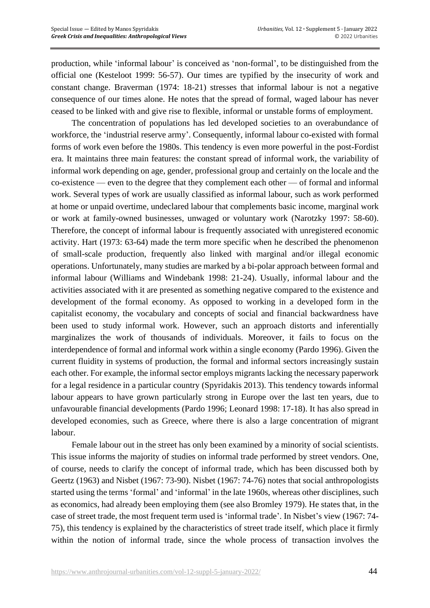production, while 'informal labour' is conceived as 'non-formal', to be distinguished from the official one (Kesteloot 1999: 56-57). Our times are typified by the insecurity of work and constant change. Braverman (1974: 18-21) stresses that informal labour is not a negative consequence of our times alone. He notes that the spread of formal, waged labour has never ceased to be linked with and give rise to flexible, informal or unstable forms of employment.

The concentration of populations has led developed societies to an overabundance of workforce, the 'industrial reserve army'. Consequently, informal labour co-existed with formal forms of work even before the 1980s. This tendency is even more powerful in the post-Fordist era. It maintains three main features: the constant spread of informal work, the variability of informal work depending on age, gender, professional group and certainly on the locale and the co-existence — even to the degree that they complement each other — of formal and informal work. Several types of work are usually classified as informal labour, such as work performed at home or unpaid overtime, undeclared labour that complements basic income, marginal work or work at family-owned businesses, unwaged or voluntary work (Narotzky 1997: 58-60). Therefore, the concept of informal labour is frequently associated with unregistered economic activity. Hart (1973: 63-64) made the term more specific when he described the phenomenon of small-scale production, frequently also linked with marginal and/or illegal economic operations. Unfortunately, many studies are marked by a bi-polar approach between formal and informal labour (Williams and Windebank 1998: 21-24). Usually, informal labour and the activities associated with it are presented as something negative compared to the existence and development of the formal economy. As opposed to working in a developed form in the capitalist economy, the vocabulary and concepts of social and financial backwardness have been used to study informal work. However, such an approach distorts and inferentially marginalizes the work of thousands of individuals. Moreover, it fails to focus on the interdependence of formal and informal work within a single economy (Pardo 1996). Given the current fluidity in systems of production, the formal and informal sectors increasingly sustain each other. For example, the informal sector employs migrants lacking the necessary paperwork for a legal residence in a particular country (Spyridakis 2013). This tendency towards informal labour appears to have grown particularly strong in Europe over the last ten years, due to unfavourable financial developments (Pardo 1996; Leonard 1998: 17-18). It has also spread in developed economies, such as Greece, where there is also a large concentration of migrant labour.

Female labour out in the street has only been examined by a minority of social scientists. This issue informs the majority of studies on informal trade performed by street vendors. One, of course, needs to clarify the concept of informal trade, which has been discussed both by Geertz (1963) and Nisbet (1967: 73-90). Nisbet (1967: 74-76) notes that social anthropologists started using the terms 'formal' and 'informal' in the late 1960s, whereas other disciplines, such as economics, had already been employing them (see also Bromley 1979). He states that, in the case of street trade, the most frequent term used is 'informal trade'. In Nisbet's view (1967: 74- 75), this tendency is explained by the characteristics of street trade itself, which place it firmly within the notion of informal trade, since the whole process of transaction involves the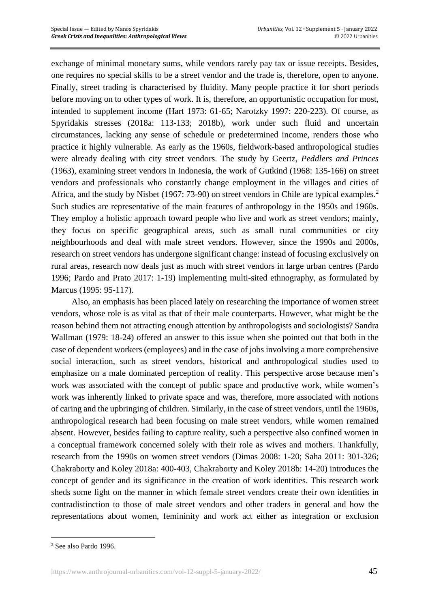exchange of minimal monetary sums, while vendors rarely pay tax or issue receipts. Besides, one requires no special skills to be a street vendor and the trade is, therefore, open to anyone. Finally, street trading is characterised by fluidity. Many people practice it for short periods before moving on to other types of work. It is, therefore, an opportunistic occupation for most, intended to supplement income (Hart 1973: 61-65; Narotzky 1997: 220-223). Of course, as Spyridakis stresses (2018a: 113-133; 2018b), work under such fluid and uncertain circumstances, lacking any sense of schedule or predetermined income, renders those who practice it highly vulnerable. As early as the 1960s, fieldwork-based anthropological studies were already dealing with city street vendors. The study by Geertz, *Peddlers and Princes* (1963), examining street vendors in Indonesia, the work of Gutkind (1968: 135-166) on street vendors and professionals who constantly change employment in the villages and cities of Africa, and the study by Nisbet (1967: 73-90) on street vendors in Chile are typical examples.<sup>2</sup> Such studies are representative of the main features of anthropology in the 1950s and 1960s. They employ a holistic approach toward people who live and work as street vendors; mainly, they focus on specific geographical areas, such as small rural communities or city neighbourhoods and deal with male street vendors. However, since the 1990s and 2000s, research on street vendors has undergone significant change: instead of focusing exclusively on rural areas, research now deals just as much with street vendors in large urban centres (Pardo 1996; Pardo and Prato 2017: 1-19) implementing multi-sited ethnography, as formulated by Marcus (1995: 95-117).

Also, an emphasis has been placed lately on researching the importance of women street vendors, whose role is as vital as that of their male counterparts. However, what might be the reason behind them not attracting enough attention by anthropologists and sociologists? Sandra Wallman (1979: 18-24) offered an answer to this issue when she pointed out that both in the case of dependent workers (employees) and in the case of jobs involving a more comprehensive social interaction, such as street vendors, historical and anthropological studies used to emphasize on a male dominated perception of reality. This perspective arose because men's work was associated with the concept of public space and productive work, while women's work was inherently linked to private space and was, therefore, more associated with notions of caring and the upbringing of children. Similarly, in the case of street vendors, until the 1960s, anthropological research had been focusing on male street vendors, while women remained absent. However, besides failing to capture reality, such a perspective also confined women in a conceptual framework concerned solely with their role as wives and mothers. Thankfully, research from the 1990s on women street vendors (Dimas 2008: 1-20; Saha 2011: 301-326; Chakraborty and Koley 2018a: 400-403, Chakraborty and Koley 2018b: 14-20) introduces the concept of gender and its significance in the creation of work identities. This research work sheds some light on the manner in which female street vendors create their own identities in contradistinction to those of male street vendors and other traders in general and how the representations about women, femininity and work act either as integration or exclusion

<sup>2</sup> See also Pardo 1996.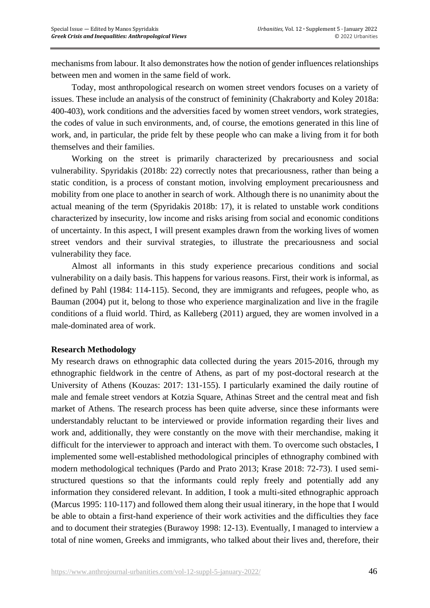mechanisms from labour. It also demonstrates how the notion of gender influences relationships between men and women in the same field of work.

Today, most anthropological research on women street vendors focuses on a variety of issues. These include an analysis of the construct of femininity (Chakraborty and Koley 2018a: 400-403), work conditions and the adversities faced by women street vendors, work strategies, the codes of value in such environments, and, of course, the emotions generated in this line of work, and, in particular, the pride felt by these people who can make a living from it for both themselves and their families.

Working on the street is primarily characterized by precariousness and social vulnerability. Spyridakis (2018b: 22) correctly notes that precariousness, rather than being a static condition, is a process of constant motion, involving employment precariousness and mobility from one place to another in search of work. Although there is no unanimity about the actual meaning of the term (Spyridakis 2018b: 17), it is related to unstable work conditions characterized by insecurity, low income and risks arising from social and economic conditions of uncertainty. In this aspect, I will present examples drawn from the working lives of women street vendors and their survival strategies, to illustrate the precariousness and social vulnerability they face.

Almost all informants in this study experience precarious conditions and social vulnerability on a daily basis. This happens for various reasons. First, their work is informal, as defined by Pahl (1984: 114-115). Second, they are immigrants and refugees, people who, as Bauman (2004) put it, belong to those who experience marginalization and live in the fragile conditions of a fluid world. Third, as Kalleberg (2011) argued, they are women involved in a male-dominated area of work.

#### **Research Methodology**

My research draws on ethnographic data collected during the years 2015-2016, through my ethnographic fieldwork in the centre of Athens, as part of my post-doctoral research at the University of Athens (Kouzas: 2017: 131-155). I particularly examined the daily routine of male and female street vendors at Kotzia Square, Athinas Street and the central meat and fish market of Athens. The research process has been quite adverse, since these informants were understandably reluctant to be interviewed or provide information regarding their lives and work and, additionally, they were constantly on the move with their merchandise, making it difficult for the interviewer to approach and interact with them. To overcome such obstacles, I implemented some well-established methodological principles of ethnography combined with modern methodological techniques (Pardo and Prato 2013; Krase 2018: 72-73). I used semistructured questions so that the informants could reply freely and potentially add any information they considered relevant. In addition, I took a multi-sited ethnographic approach (Marcus 1995: 110-117) and followed them along their usual itinerary, in the hope that I would be able to obtain a first-hand experience of their work activities and the difficulties they face and to document their strategies (Burawoy 1998: 12-13). Eventually, I managed to interview a total of nine women, Greeks and immigrants, who talked about their lives and, therefore, their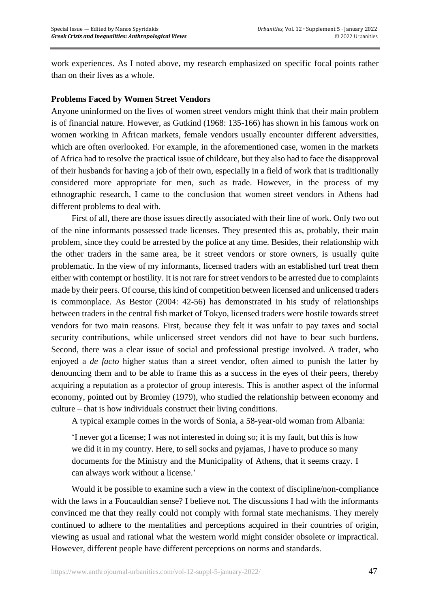work experiences. As I noted above, my research emphasized on specific focal points rather than on their lives as a whole.

## **Problems Faced by Women Street Vendors**

Anyone uninformed on the lives of women street vendors might think that their main problem is of financial nature. However, as Gutkind (1968: 135-166) has shown in his famous work on women working in African markets, female vendors usually encounter different adversities, which are often overlooked. For example, in the aforementioned case, women in the markets of Africa had to resolve the practical issue of childcare, but they also had to face the disapproval of their husbands for having a job of their own, especially in a field of work that is traditionally considered more appropriate for men, such as trade. However, in the process of my ethnographic research, I came to the conclusion that women street vendors in Athens had different problems to deal with.

First of all, there are those issues directly associated with their line of work. Only two out of the nine informants possessed trade licenses. They presented this as, probably, their main problem, since they could be arrested by the police at any time. Besides, their relationship with the other traders in the same area, be it street vendors or store owners, is usually quite problematic. In the view of my informants, licensed traders with an established turf treat them either with contempt or hostility. It is not rare for street vendors to be arrested due to complaints made by their peers. Of course, this kind of competition between licensed and unlicensed traders is commonplace. As Bestor (2004: 42-56) has demonstrated in his study of relationships between traders in the central fish market of Tokyo, licensed traders were hostile towards street vendors for two main reasons. First, because they felt it was unfair to pay taxes and social security contributions, while unlicensed street vendors did not have to bear such burdens. Second, there was a clear issue of social and professional prestige involved. A trader, who enjoyed a *de facto* higher status than a street vendor, often aimed to punish the latter by denouncing them and to be able to frame this as a success in the eyes of their peers, thereby acquiring a reputation as a protector of group interests. This is another aspect of the informal economy, pointed out by Bromley (1979), who studied the relationship between economy and culture – that is how individuals construct their living conditions.

A typical example comes in the words of Sonia, a 58-year-old woman from Albania:

'I never got a license; I was not interested in doing so; it is my fault, but this is how we did it in my country. Here, to sell socks and pyjamas, I have to produce so many documents for the Ministry and the Municipality of Athens, that it seems crazy. I can always work without a license.'

Would it be possible to examine such a view in the context of discipline/non-compliance with the laws in a Foucauldian sense? I believe not. The discussions I had with the informants convinced me that they really could not comply with formal state mechanisms. They merely continued to adhere to the mentalities and perceptions acquired in their countries of origin, viewing as usual and rational what the western world might consider obsolete or impractical. However, different people have different perceptions on norms and standards.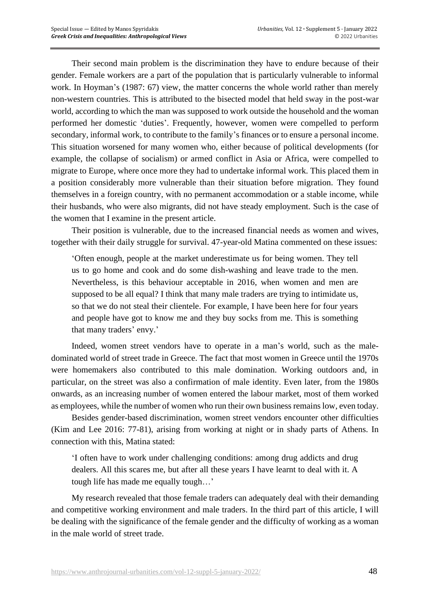Their second main problem is the discrimination they have to endure because of their gender. Female workers are a part of the population that is particularly vulnerable to informal work. In Hoyman's (1987: 67) view, the matter concerns the whole world rather than merely non-western countries. This is attributed to the bisected model that held sway in the post-war world, according to which the man was supposed to work outside the household and the woman performed her domestic 'duties'. Frequently, however, women were compelled to perform secondary, informal work, to contribute to the family's finances or to ensure a personal income. This situation worsened for many women who, either because of political developments (for example, the collapse of socialism) or armed conflict in Asia or Africa, were compelled to migrate to Europe, where once more they had to undertake informal work. This placed them in a position considerably more vulnerable than their situation before migration. They found themselves in a foreign country, with no permanent accommodation or a stable income, while their husbands, who were also migrants, did not have steady employment. Such is the case of the women that I examine in the present article.

Their position is vulnerable, due to the increased financial needs as women and wives, together with their daily struggle for survival. 47-year-old Matina commented on these issues:

'Often enough, people at the market underestimate us for being women. They tell us to go home and cook and do some dish-washing and leave trade to the men. Nevertheless, is this behaviour acceptable in 2016, when women and men are supposed to be all equal? I think that many male traders are trying to intimidate us, so that we do not steal their clientele. For example, I have been here for four years and people have got to know me and they buy socks from me. This is something that many traders' envy.'

Indeed, women street vendors have to operate in a man's world, such as the maledominated world of street trade in Greece. The fact that most women in Greece until the 1970s were homemakers also contributed to this male domination. Working outdoors and, in particular, on the street was also a confirmation of male identity. Even later, from the 1980s onwards, as an increasing number of women entered the labour market, most of them worked as employees, while the number of women who run their own business remains low, even today.

Besides gender-based discrimination, women street vendors encounter other difficulties (Kim and Lee 2016: 77-81), arising from working at night or in shady parts of Athens. In connection with this, Matina stated:

'I often have to work under challenging conditions: among drug addicts and drug dealers. All this scares me, but after all these years I have learnt to deal with it. A tough life has made me equally tough…'

My research revealed that those female traders can adequately deal with their demanding and competitive working environment and male traders. In the third part of this article, I will be dealing with the significance of the female gender and the difficulty of working as a woman in the male world of street trade.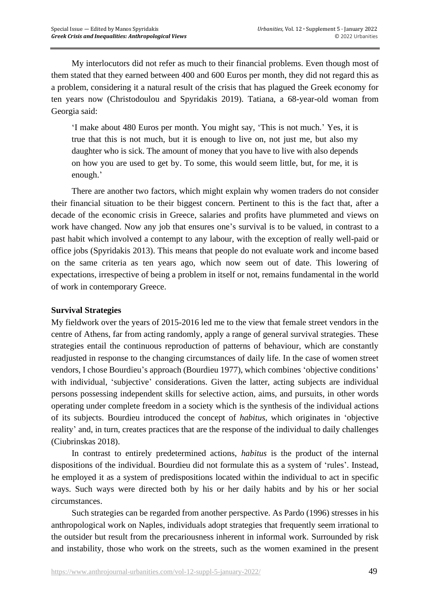My interlocutors did not refer as much to their financial problems. Even though most of them stated that they earned between 400 and 600 Euros per month, they did not regard this as a problem, considering it a natural result of the crisis that has plagued the Greek economy for ten years now (Christodoulou and Spyridakis 2019). Tatiana, a 68-year-old woman from Georgia said:

'I make about 480 Euros per month. You might say, 'This is not much.' Yes, it is true that this is not much, but it is enough to live on, not just me, but also my daughter who is sick. The amount of money that you have to live with also depends on how you are used to get by. To some, this would seem little, but, for me, it is enough.'

There are another two factors, which might explain why women traders do not consider their financial situation to be their biggest concern. Pertinent to this is the fact that, after a decade of the economic crisis in Greece, salaries and profits have plummeted and views on work have changed. Now any job that ensures one's survival is to be valued, in contrast to a past habit which involved a contempt to any labour, with the exception of really well-paid or office jobs (Spyridakis 2013). This means that people do not evaluate work and income based on the same criteria as ten years ago, which now seem out of date. This lowering of expectations, irrespective of being a problem in itself or not, remains fundamental in the world of work in contemporary Greece.

## **Survival Strategies**

My fieldwork over the years of 2015-2016 led me to the view that female street vendors in the centre of Athens, far from acting randomly, apply a range of general survival strategies. These strategies entail the continuous reproduction of patterns of behaviour, which are constantly readjusted in response to the changing circumstances of daily life. In the case of women street vendors, I chose Bourdieu's approach (Bourdieu 1977), which combines 'objective conditions' with individual, 'subjective' considerations. Given the latter, acting subjects are individual persons possessing independent skills for selective action, aims, and pursuits, in other words operating under complete freedom in a society which is the synthesis of the individual actions of its subjects. Bourdieu introduced the concept of *habitus*, which originates in 'objective reality' and, in turn, creates practices that are the response of the individual to daily challenges (Ciubrinskas 2018).

In contrast to entirely predetermined actions, *habitus* is the product of the internal dispositions of the individual. Bourdieu did not formulate this as a system of 'rules'. Instead, he employed it as a system of predispositions located within the individual to act in specific ways. Such ways were directed both by his or her daily habits and by his or her social circumstances.

Such strategies can be regarded from another perspective. As Pardo (1996) stresses in his anthropological work on Naples, individuals adopt strategies that frequently seem irrational to the outsider but result from the precariousness inherent in informal work. Surrounded by risk and instability, those who work on the streets, such as the women examined in the present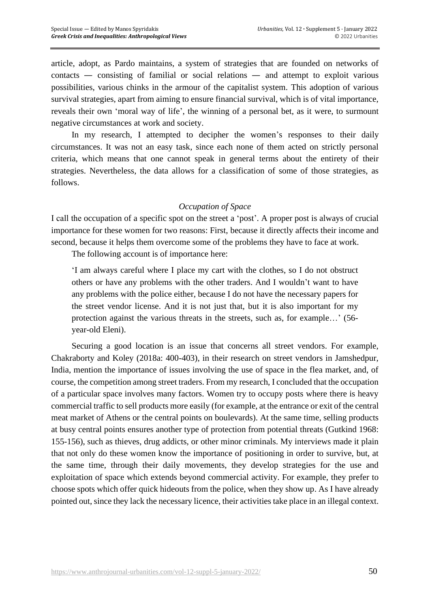article, adopt, as Pardo maintains, a system of strategies that are founded on networks of contacts — consisting of familial or social relations — and attempt to exploit various possibilities, various chinks in the armour of the capitalist system. This adoption of various survival strategies, apart from aiming to ensure financial survival, which is of vital importance, reveals their own 'moral way of life', the winning of a personal bet, as it were, to surmount negative circumstances at work and society.

In my research, I attempted to decipher the women's responses to their daily circumstances. It was not an easy task, since each none of them acted on strictly personal criteria, which means that one cannot speak in general terms about the entirety of their strategies. Nevertheless, the data allows for a classification of some of those strategies, as follows.

#### *Occupation of Space*

Ι call the occupation of a specific spot on the street a 'post'. A proper post is always of crucial importance for these women for two reasons: First, because it directly affects their income and second, because it helps them overcome some of the problems they have to face at work.

The following account is of importance here:

'I am always careful where I place my cart with the clothes, so I do not obstruct others or have any problems with the other traders. And I wouldn't want to have any problems with the police either, because I do not have the necessary papers for the street vendor license. And it is not just that, but it is also important for my protection against the various threats in the streets, such as, for example…' (56 year-old Eleni).

Securing a good location is an issue that concerns all street vendors. For example, Chakraborty and Koley (2018a: 400-403), in their research on street vendors in Jamshedpur, India, mention the importance of issues involving the use of space in the flea market, and, of course, the competition among street traders. From my research, I concluded that the occupation of a particular space involves many factors. Women try to occupy posts where there is heavy commercial traffic to sell products more easily (for example, at the entrance or exit of the central meat market of Athens or the central points on boulevards). At the same time, selling products at busy central points ensures another type of protection from potential threats (Gutkind 1968: 155-156), such as thieves, drug addicts, or other minor criminals. My interviews made it plain that not only do these women know the importance of positioning in order to survive, but, at the same time, through their daily movements, they develop strategies for the use and exploitation of space which extends beyond commercial activity. For example, they prefer to choose spots which offer quick hideouts from the police, when they show up. As I have already pointed out, since they lack the necessary licence, their activities take place in an illegal context.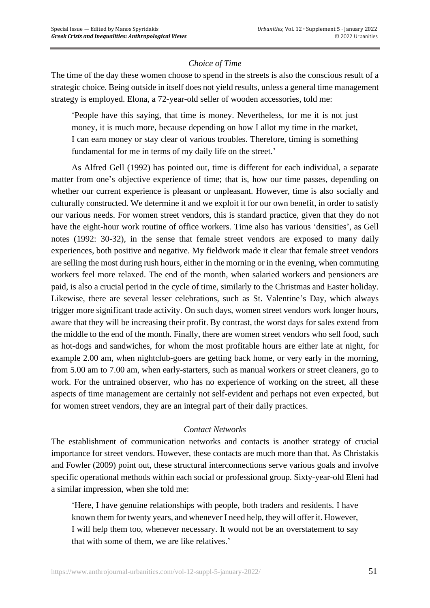## *Choice of Time*

The time of the day these women choose to spend in the streets is also the conscious result of a strategic choice. Being outside in itself does not yield results, unless a general time management strategy is employed. Elona, a 72-year-old seller of wooden accessories, told me:

'People have this saying, that time is money. Nevertheless, for me it is not just money, it is much more, because depending on how I allot my time in the market, I can earn money or stay clear of various troubles. Therefore, timing is something fundamental for me in terms of my daily life on the street.'

As Alfred Gell (1992) has pointed out, time is different for each individual, a separate matter from one's objective experience of time; that is, how our time passes, depending on whether our current experience is pleasant or unpleasant. However, time is also socially and culturally constructed. We determine it and we exploit it for our own benefit, in order to satisfy our various needs. For women street vendors, this is standard practice, given that they do not have the eight-hour work routine of office workers. Time also has various 'densities', as Gell notes (1992: 30-32), in the sense that female street vendors are exposed to many daily experiences, both positive and negative. My fieldwork made it clear that female street vendors are selling the most during rush hours, either in the morning or in the evening, when commuting workers feel more relaxed. The end of the month, when salaried workers and pensioners are paid, is also a crucial period in the cycle of time, similarly to the Christmas and Easter holiday. Likewise, there are several lesser celebrations, such as St. Valentine's Day, which always trigger more significant trade activity. On such days, women street vendors work longer hours, aware that they will be increasing their profit. By contrast, the worst days for sales extend from the middle to the end of the month. Finally, there are women street vendors who sell food, such as hot-dogs and sandwiches, for whom the most profitable hours are either late at night, for example 2.00 am, when nightclub-goers are getting back home, or very early in the morning, from 5.00 am to 7.00 am, when early-starters, such as manual workers or street cleaners, go to work. For the untrained observer, who has no experience of working on the street, all these aspects of time management are certainly not self-evident and perhaps not even expected, but for women street vendors, they are an integral part of their daily practices.

## *Contact Networks*

The establishment of communication networks and contacts is another strategy of crucial importance for street vendors. However, these contacts are much more than that. As Christakis and Fowler (2009) point out, these structural interconnections serve various goals and involve specific operational methods within each social or professional group. Sixty-year-old Eleni had a similar impression, when she told me:

'Here, I have genuine relationships with people, both traders and residents. I have known them for twenty years, and whenever I need help, they will offer it. However, I will help them too, whenever necessary. It would not be an overstatement to say that with some of them, we are like relatives.'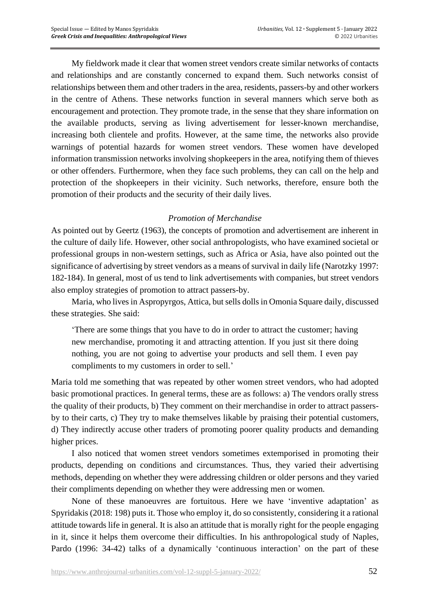My fieldwork made it clear that women street vendors create similar networks of contacts and relationships and are constantly concerned to expand them. Such networks consist of relationships between them and other traders in the area, residents, passers-by and other workers in the centre of Athens. These networks function in several manners which serve both as encouragement and protection. They promote trade, in the sense that they share information on the available products, serving as living advertisement for lesser-known merchandise, increasing both clientele and profits. However, at the same time, the networks also provide warnings of potential hazards for women street vendors. These women have developed information transmission networks involving shopkeepers in the area, notifying them of thieves or other offenders. Furthermore, when they face such problems, they can call on the help and protection of the shopkeepers in their vicinity. Such networks, therefore, ensure both the promotion of their products and the security of their daily lives.

### *Promotion of Merchandise*

As pointed out by Geertz (1963), the concepts of promotion and advertisement are inherent in the culture of daily life. However, other social anthropologists, who have examined societal or professional groups in non-western settings, such as Africa or Asia, have also pointed out the significance of advertising by street vendors as a means of survival in daily life (Narotzky 1997: 182-184). In general, most of us tend to link advertisements with companies, but street vendors also employ strategies of promotion to attract passers-by.

Maria, who lives in Aspropyrgos, Attica, but sells dolls in Omonia Square daily, discussed these strategies. She said:

'There are some things that you have to do in order to attract the customer; having new merchandise, promoting it and attracting attention. If you just sit there doing nothing, you are not going to advertise your products and sell them. I even pay compliments to my customers in order to sell.'

Maria told me something that was repeated by other women street vendors, who had adopted basic promotional practices. In general terms, these are as follows: a) The vendors orally stress the quality of their products, b) They comment on their merchandise in order to attract passersby to their carts, c) They try to make themselves likable by praising their potential customers, d) They indirectly accuse other traders of promoting poorer quality products and demanding higher prices.

I also noticed that women street vendors sometimes extemporised in promoting their products, depending on conditions and circumstances. Thus, they varied their advertising methods, depending on whether they were addressing children or older persons and they varied their compliments depending on whether they were addressing men or women.

None of these manoeuvres are fortuitous. Here we have 'inventive adaptation' as Spyridakis (2018: 198) puts it. Those who employ it, do so consistently, considering it a rational attitude towards life in general. It is also an attitude that is morally right for the people engaging in it, since it helps them overcome their difficulties. In his anthropological study of Naples, Pardo (1996: 34-42) talks of a dynamically 'continuous interaction' on the part of these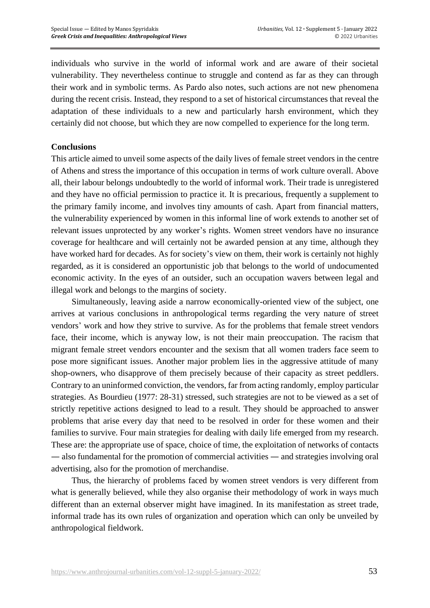individuals who survive in the world of informal work and are aware of their societal vulnerability. They nevertheless continue to struggle and contend as far as they can through their work and in symbolic terms. As Pardo also notes, such actions are not new phenomena during the recent crisis. Instead, they respond to a set of historical circumstances that reveal the adaptation of these individuals to a new and particularly harsh environment, which they certainly did not choose, but which they are now compelled to experience for the long term.

#### **Conclusions**

This article aimed to unveil some aspects of the daily lives of female street vendors in the centre of Athens and stress the importance of this occupation in terms of work culture overall. Above all, their labour belongs undoubtedly to the world of informal work. Their trade is unregistered and they have no official permission to practice it. It is precarious, frequently a supplement to the primary family income, and involves tiny amounts of cash. Apart from financial matters, the vulnerability experienced by women in this informal line of work extends to another set of relevant issues unprotected by any worker's rights. Women street vendors have no insurance coverage for healthcare and will certainly not be awarded pension at any time, although they have worked hard for decades. As for society's view on them, their work is certainly not highly regarded, as it is considered an opportunistic job that belongs to the world of undocumented economic activity. In the eyes of an outsider, such an occupation wavers between legal and illegal work and belongs to the margins of society.

Simultaneously, leaving aside a narrow economically-oriented view of the subject, one arrives at various conclusions in anthropological terms regarding the very nature of street vendors' work and how they strive to survive. As for the problems that female street vendors face, their income, which is anyway low, is not their main preoccupation. The racism that migrant female street vendors encounter and the sexism that all women traders face seem to pose more significant issues. Another major problem lies in the aggressive attitude of many shop-owners, who disapprove of them precisely because of their capacity as street peddlers. Contrary to an uninformed conviction, the vendors, far from acting randomly, employ particular strategies. As Bourdieu (1977: 28-31) stressed, such strategies are not to be viewed as a set of strictly repetitive actions designed to lead to a result. They should be approached to answer problems that arise every day that need to be resolved in order for these women and their families to survive. Four main strategies for dealing with daily life emerged from my research. These are: the appropriate use of space, choice of time, the exploitation of networks of contacts — also fundamental for the promotion of commercial activities — and strategies involving oral advertising, also for the promotion of merchandise.

Thus, the hierarchy of problems faced by women street vendors is very different from what is generally believed, while they also organise their methodology of work in ways much different than an external observer might have imagined. In its manifestation as street trade, informal trade has its own rules of organization and operation which can only be unveiled by anthropological fieldwork.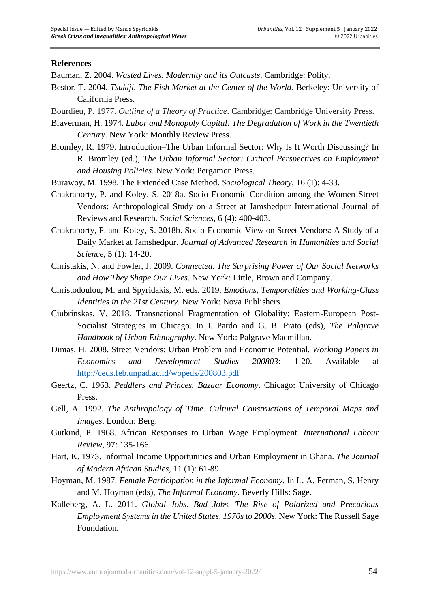#### **References**

Bauman, Z. 2004. *Wasted Lives. Modernity and its Outcasts*. Cambridge: Polity.

- Bestor, T. 2004. *Tsukiji. The Fish Market at the Center of the World*. Berkeley: University of California Press.
- Bourdieu, P. 1977. *Outline of a Theory of Practice*. Cambridge: Cambridge University Press.
- Braverman, H. 1974. *Labor and Monopoly Capital: The Degradation of Work in the Twentieth Century*. New York: Monthly Review Press.
- Bromley, R. 1979. Introduction–The Urban Informal Sector: Why Is It Worth Discussing? In R. Bromley (ed.), *The Urban Informal Sector: Critical Perspectives on Employment and Housing Policies*. New York: Pergamon Press.
- Burawoy, M. 1998. The Extended Case Method. *Sociological Theory*, 16 (1): 4-33.
- Chakraborty, P. and Koley, S. 2018a. Socio-Economic Condition among the Women Street Vendors: Anthropological Study on a Street at Jamshedpur International Journal of Reviews and Research. *Social Sciences*, 6 (4): 400-403.
- Chakraborty, P. and Koley, S. 2018b. Socio-Economic View on Street Vendors: A Study of a Daily Market at Jamshedpur. *Journal of Advanced Research in Humanities and Social Science*, 5 (1): 14-20.
- Christakis, N. and Fowler, J. 2009. *Connected. The Surprising Power of Our Social Networks and How They Shape Our Lives*. New York: Little, Brown and Company.
- Christodoulou, M. and Spyridakis, M. eds. 2019. *Emotions, Temporalities and Working-Class Identities in the 21st Century*. New York: Nova Publishers.
- Ciubrinskas, V. 2018. Transnational Fragmentation of Globality: Eastern-European Post-Socialist Strategies in Chicago. In I. Pardo and G. B. Prato (eds), *The Palgrave Handbook of Urban Ethnography*. New York: Palgrave Macmillan.
- Dimas, H. 2008. Street Vendors: Urban Problem and Economic Potential. *Working Papers in Economics and Development Studies 200803*: 1-20. Available at <http://ceds.feb.unpad.ac.id/wopeds/200803.pdf>
- Geertz, C. 1963. *Peddlers and Princes. Bazaar Economy*. Chicago: University of Chicago Press.
- Gell, A. 1992. *The Anthropology of Time. Cultural Constructions of Temporal Maps and Images*. London: Berg.
- Gutkind, P. 1968. African Responses to Urban Wage Employment. *International Labour Review*, 97: 135-166.
- Hart, K. 1973. Informal Income Opportunities and Urban Employment in Ghana. *The Journal of Modern African Studies*, 11 (1): 61-89.
- Hoyman, M. 1987. *Female Participation in the Informal Economy*. Ιn L. A. Ferman, S. Henry and M. Hoyman (eds), *The Informal Economy*. Beverly Hills: Sage.
- Kalleberg, A. L. 2011. *Global Jobs. Bad Jobs. The Rise of Polarized and Precarious Employment Systems in the United States, 1970s to 2000s*. New York: The Russell Sage Foundation.